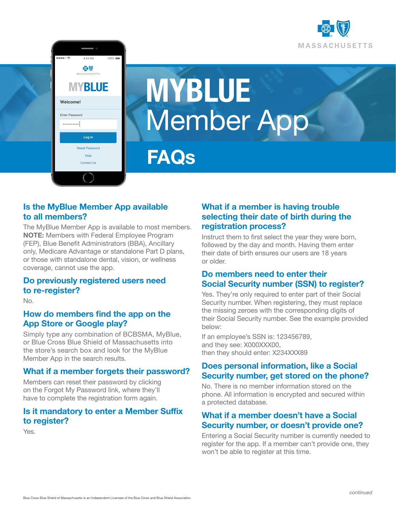

# **MYBLUE** Member App

**FAQs**

# **Is the MyBlue Member App available to all members?**

**MYBLUE**

◎⑤ W.<br>Husetts

**Welcome!** Enter Password

\*\*\*\*\*\*\*\*\*\*\*

Reset Password Help Contact Us

**Log In**

The MyBlue Member App is available to most members. **NOTE:** Members with Federal Employee Program (FEP), Blue Benefit Administrators (BBA), Ancillary only, Medicare Advantage or standalone Part D plans, or those with standalone dental, vision, or wellness coverage, cannot use the app.

# **Do previously registered users need to re-register?**

No.

#### **How do members find the app on the App Store or Google play?**

Simply type any combination of BCBSMA, MyBlue, or Blue Cross Blue Shield of Massachusetts into the store's search box and look for the MyBlue Member App in the search results.

#### **What if a member forgets their password?**

Members can reset their password by clicking on the Forgot My Password link, where they'll have to complete the registration form again.

#### **Is it mandatory to enter a Member Suffix to register?**

Yes.

# **What if a member is having trouble selecting their date of birth during the registration process?**

Instruct them to first select the year they were born, followed by the day and month. Having them enter their date of birth ensures our users are 18 years or older.

# **Do members need to enter their Social Security number (SSN) to register?**

Yes. They're only required to enter part of their Social Security number. When registering, they must replace the missing zeroes with the corresponding digits of their Social Security number. See the example provided below:

If an employee's SSN is: 123456789, and they see: X000XXX00, then they should enter: X234XXX89

#### **Does personal information, like a Social Security number, get stored on the phone?**

No. There is no member information stored on the phone. All information is encrypted and secured within a protected database.

# **What if a member doesn't have a Social Security number, or doesn't provide one?**

Entering a Social Security number is currently needed to register for the app. If a member can't provide one, they won't be able to register at this time.